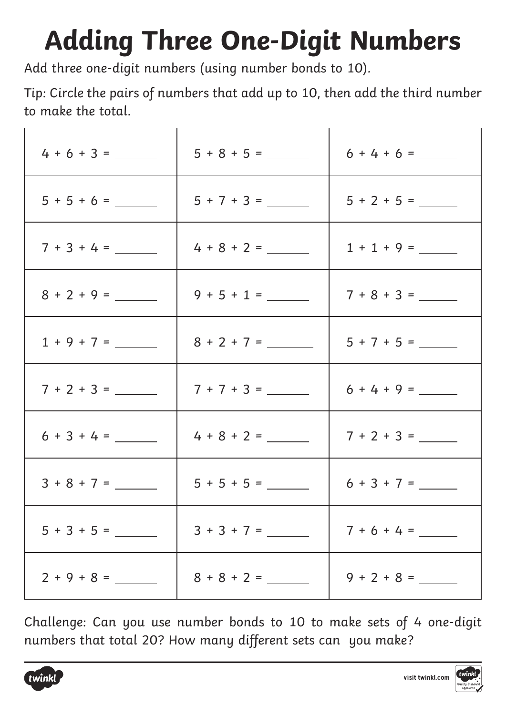## **Adding Three One-Digit Numbers**

Add three one-digit numbers (using number bonds to 10).

Tip: Circle the pairs of numbers that add up to 10, then add the third number to make the total.

|               |               | $6 + 4 + 6 =$ |
|---------------|---------------|---------------|
|               |               |               |
| $7 + 3 + 4 =$ |               | $1 + 1 + 9 =$ |
|               | $9 + 5 + 1 =$ |               |
| $1 + 9 + 7 =$ | $8 + 2 + 7 =$ | $5 + 7 + 5 =$ |
| $7 + 2 + 3 =$ |               | $6 + 4 + 9 =$ |
|               |               | $7 + 2 + 3 =$ |
| $3 + 8 + 7 =$ |               |               |
|               | $3 + 3 + 7 =$ | $7 + 6 + 4 =$ |
|               |               |               |

Challenge: Can you use number bonds to 10 to make sets of 4 one-digit numbers that total 20? How many different sets can you make?